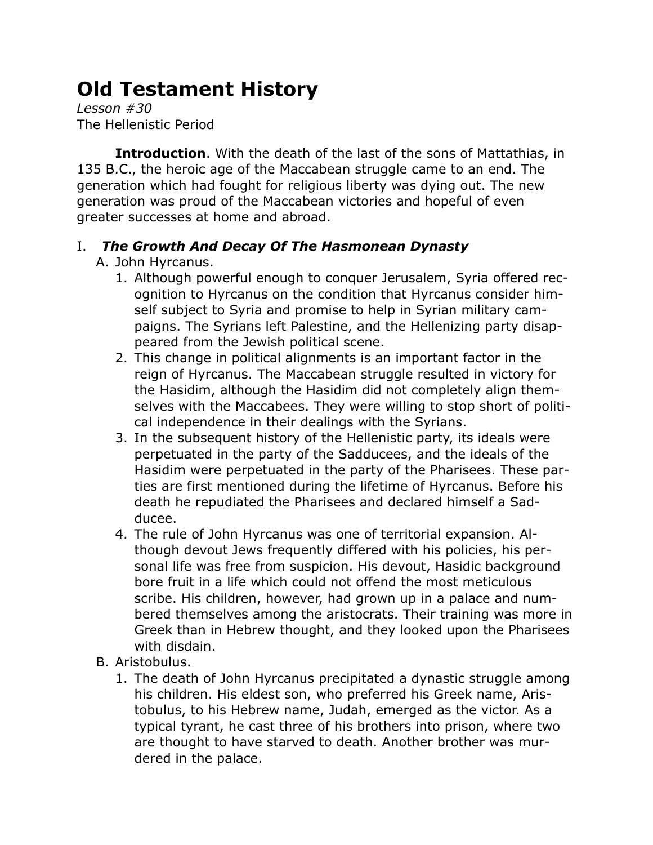## **Old Testament History**

*Lesson #30* The Hellenistic Period

**Introduction**. With the death of the last of the sons of Mattathias, in 135 B.C., the heroic age of the Maccabean struggle came to an end. The generation which had fought for religious liberty was dying out. The new generation was proud of the Maccabean victories and hopeful of even greater successes at home and abroad.

## I. *The Growth And Decay Of The Hasmonean Dynasty*

- A. John Hyrcanus.
	- 1. Although powerful enough to conquer Jerusalem, Syria offered recognition to Hyrcanus on the condition that Hyrcanus consider himself subject to Syria and promise to help in Syrian military campaigns. The Syrians left Palestine, and the Hellenizing party disappeared from the Jewish political scene.
	- 2. This change in political alignments is an important factor in the reign of Hyrcanus. The Maccabean struggle resulted in victory for the Hasidim, although the Hasidim did not completely align themselves with the Maccabees. They were willing to stop short of political independence in their dealings with the Syrians.
	- 3. In the subsequent history of the Hellenistic party, its ideals were perpetuated in the party of the Sadducees, and the ideals of the Hasidim were perpetuated in the party of the Pharisees. These parties are first mentioned during the lifetime of Hyrcanus. Before his death he repudiated the Pharisees and declared himself a Sadducee.
	- 4. The rule of John Hyrcanus was one of territorial expansion. Although devout Jews frequently differed with his policies, his personal life was free from suspicion. His devout, Hasidic background bore fruit in a life which could not offend the most meticulous scribe. His children, however, had grown up in a palace and numbered themselves among the aristocrats. Their training was more in Greek than in Hebrew thought, and they looked upon the Pharisees with disdain.
- B. Aristobulus.
	- 1. The death of John Hyrcanus precipitated a dynastic struggle among his children. His eldest son, who preferred his Greek name, Aristobulus, to his Hebrew name, Judah, emerged as the victor. As a typical tyrant, he cast three of his brothers into prison, where two are thought to have starved to death. Another brother was murdered in the palace.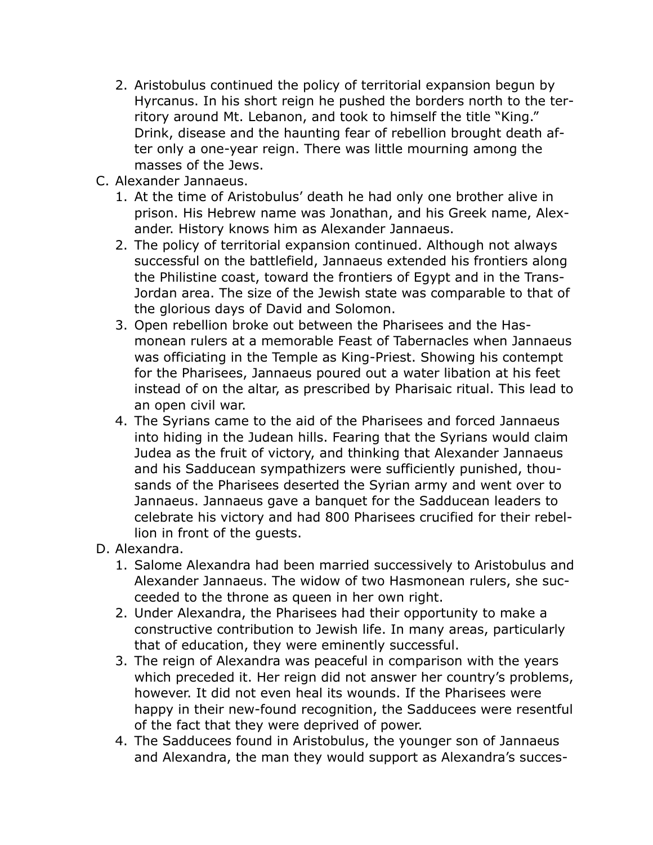- 2. Aristobulus continued the policy of territorial expansion begun by Hyrcanus. In his short reign he pushed the borders north to the territory around Mt. Lebanon, and took to himself the title "King." Drink, disease and the haunting fear of rebellion brought death after only a one-year reign. There was little mourning among the masses of the Jews.
- C. Alexander Jannaeus.
	- 1. At the time of Aristobulus' death he had only one brother alive in prison. His Hebrew name was Jonathan, and his Greek name, Alexander. History knows him as Alexander Jannaeus.
	- 2. The policy of territorial expansion continued. Although not always successful on the battlefield, Jannaeus extended his frontiers along the Philistine coast, toward the frontiers of Egypt and in the Trans-Jordan area. The size of the Jewish state was comparable to that of the glorious days of David and Solomon.
	- 3. Open rebellion broke out between the Pharisees and the Hasmonean rulers at a memorable Feast of Tabernacles when Jannaeus was officiating in the Temple as King-Priest. Showing his contempt for the Pharisees, Jannaeus poured out a water libation at his feet instead of on the altar, as prescribed by Pharisaic ritual. This lead to an open civil war.
	- 4. The Syrians came to the aid of the Pharisees and forced Jannaeus into hiding in the Judean hills. Fearing that the Syrians would claim Judea as the fruit of victory, and thinking that Alexander Jannaeus and his Sadducean sympathizers were sufficiently punished, thousands of the Pharisees deserted the Syrian army and went over to Jannaeus. Jannaeus gave a banquet for the Sadducean leaders to celebrate his victory and had 800 Pharisees crucified for their rebellion in front of the guests.
- D. Alexandra.
	- 1. Salome Alexandra had been married successively to Aristobulus and Alexander Jannaeus. The widow of two Hasmonean rulers, she succeeded to the throne as queen in her own right.
	- 2. Under Alexandra, the Pharisees had their opportunity to make a constructive contribution to Jewish life. In many areas, particularly that of education, they were eminently successful.
	- 3. The reign of Alexandra was peaceful in comparison with the years which preceded it. Her reign did not answer her country's problems, however. It did not even heal its wounds. If the Pharisees were happy in their new-found recognition, the Sadducees were resentful of the fact that they were deprived of power.
	- 4. The Sadducees found in Aristobulus, the younger son of Jannaeus and Alexandra, the man they would support as Alexandra's succes-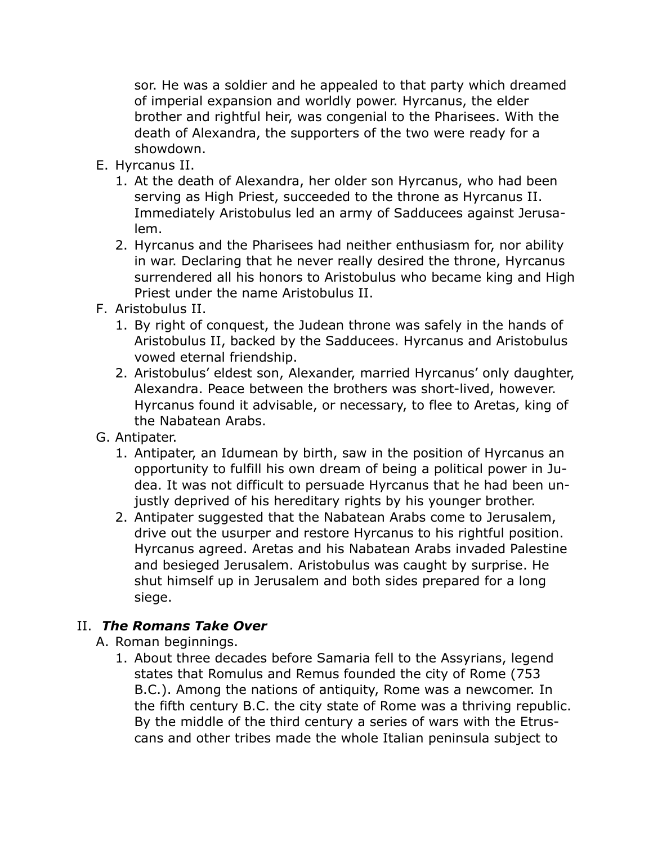sor. He was a soldier and he appealed to that party which dreamed of imperial expansion and worldly power. Hyrcanus, the elder brother and rightful heir, was congenial to the Pharisees. With the death of Alexandra, the supporters of the two were ready for a showdown.

- E. Hyrcanus II.
	- 1. At the death of Alexandra, her older son Hyrcanus, who had been serving as High Priest, succeeded to the throne as Hyrcanus II. Immediately Aristobulus led an army of Sadducees against Jerusalem.
	- 2. Hyrcanus and the Pharisees had neither enthusiasm for, nor ability in war. Declaring that he never really desired the throne, Hyrcanus surrendered all his honors to Aristobulus who became king and High Priest under the name Aristobulus II.
- F. Aristobulus II.
	- 1. By right of conquest, the Judean throne was safely in the hands of Aristobulus II, backed by the Sadducees. Hyrcanus and Aristobulus vowed eternal friendship.
	- 2. Aristobulus' eldest son, Alexander, married Hyrcanus' only daughter, Alexandra. Peace between the brothers was short-lived, however. Hyrcanus found it advisable, or necessary, to flee to Aretas, king of the Nabatean Arabs.
- G. Antipater.
	- 1. Antipater, an Idumean by birth, saw in the position of Hyrcanus an opportunity to fulfill his own dream of being a political power in Judea. It was not difficult to persuade Hyrcanus that he had been unjustly deprived of his hereditary rights by his younger brother.
	- 2. Antipater suggested that the Nabatean Arabs come to Jerusalem, drive out the usurper and restore Hyrcanus to his rightful position. Hyrcanus agreed. Aretas and his Nabatean Arabs invaded Palestine and besieged Jerusalem. Aristobulus was caught by surprise. He shut himself up in Jerusalem and both sides prepared for a long siege.

## II. *The Romans Take Over*

- A. Roman beginnings.
	- 1. About three decades before Samaria fell to the Assyrians, legend states that Romulus and Remus founded the city of Rome (753 B.C.). Among the nations of antiquity, Rome was a newcomer. In the fifth century B.C. the city state of Rome was a thriving republic. By the middle of the third century a series of wars with the Etruscans and other tribes made the whole Italian peninsula subject to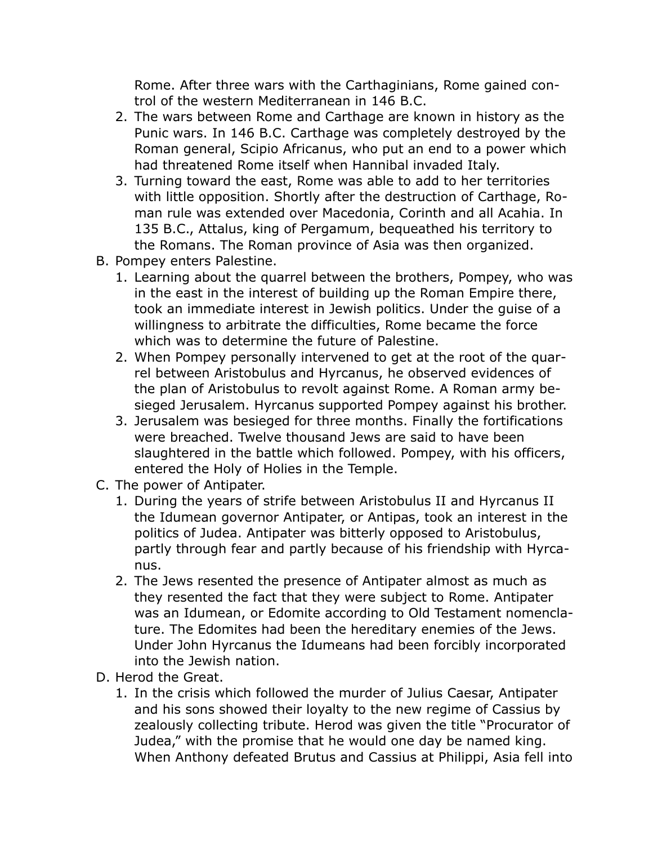Rome. After three wars with the Carthaginians, Rome gained control of the western Mediterranean in 146 B.C.

- 2. The wars between Rome and Carthage are known in history as the Punic wars. In 146 B.C. Carthage was completely destroyed by the Roman general, Scipio Africanus, who put an end to a power which had threatened Rome itself when Hannibal invaded Italy.
- 3. Turning toward the east, Rome was able to add to her territories with little opposition. Shortly after the destruction of Carthage, Roman rule was extended over Macedonia, Corinth and all Acahia. In 135 B.C., Attalus, king of Pergamum, bequeathed his territory to the Romans. The Roman province of Asia was then organized.
- B. Pompey enters Palestine.
	- 1. Learning about the quarrel between the brothers, Pompey, who was in the east in the interest of building up the Roman Empire there, took an immediate interest in Jewish politics. Under the guise of a willingness to arbitrate the difficulties, Rome became the force which was to determine the future of Palestine.
	- 2. When Pompey personally intervened to get at the root of the quarrel between Aristobulus and Hyrcanus, he observed evidences of the plan of Aristobulus to revolt against Rome. A Roman army besieged Jerusalem. Hyrcanus supported Pompey against his brother.
	- 3. Jerusalem was besieged for three months. Finally the fortifications were breached. Twelve thousand Jews are said to have been slaughtered in the battle which followed. Pompey, with his officers, entered the Holy of Holies in the Temple.
- C. The power of Antipater.
	- 1. During the years of strife between Aristobulus II and Hyrcanus II the Idumean governor Antipater, or Antipas, took an interest in the politics of Judea. Antipater was bitterly opposed to Aristobulus, partly through fear and partly because of his friendship with Hyrcanus.
	- 2. The Jews resented the presence of Antipater almost as much as they resented the fact that they were subject to Rome. Antipater was an Idumean, or Edomite according to Old Testament nomenclature. The Edomites had been the hereditary enemies of the Jews. Under John Hyrcanus the Idumeans had been forcibly incorporated into the Jewish nation.
- D. Herod the Great.
	- 1. In the crisis which followed the murder of Julius Caesar, Antipater and his sons showed their loyalty to the new regime of Cassius by zealously collecting tribute. Herod was given the title "Procurator of Judea," with the promise that he would one day be named king. When Anthony defeated Brutus and Cassius at Philippi, Asia fell into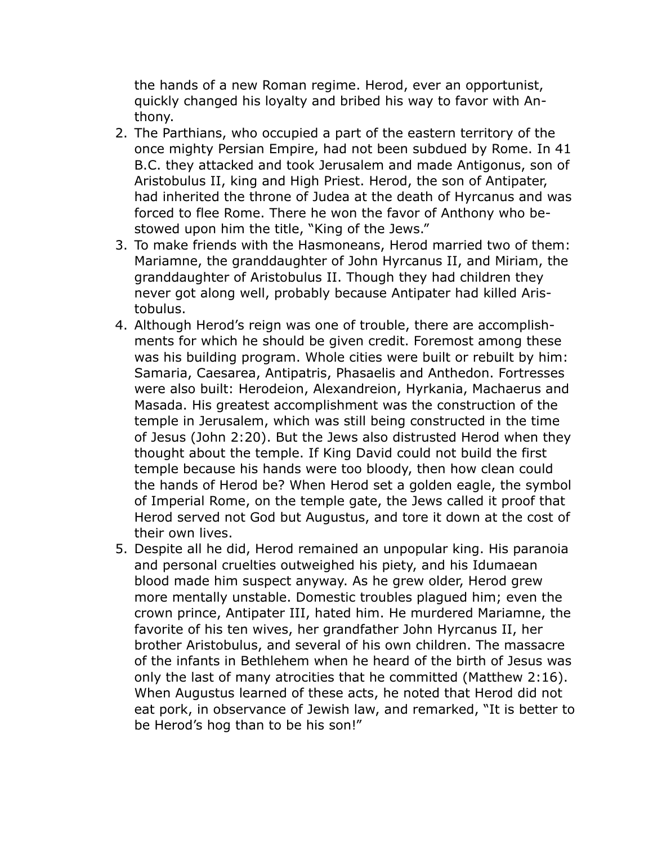the hands of a new Roman regime. Herod, ever an opportunist, quickly changed his loyalty and bribed his way to favor with Anthony.

- 2. The Parthians, who occupied a part of the eastern territory of the once mighty Persian Empire, had not been subdued by Rome. In 41 B.C. they attacked and took Jerusalem and made Antigonus, son of Aristobulus II, king and High Priest. Herod, the son of Antipater, had inherited the throne of Judea at the death of Hyrcanus and was forced to flee Rome. There he won the favor of Anthony who bestowed upon him the title, "King of the Jews."
- 3. To make friends with the Hasmoneans, Herod married two of them: Mariamne, the granddaughter of John Hyrcanus II, and Miriam, the granddaughter of Aristobulus II. Though they had children they never got along well, probably because Antipater had killed Aristobulus.
- 4. Although Herod's reign was one of trouble, there are accomplishments for which he should be given credit. Foremost among these was his building program. Whole cities were built or rebuilt by him: Samaria, Caesarea, Antipatris, Phasaelis and Anthedon. Fortresses were also built: Herodeion, Alexandreion, Hyrkania, Machaerus and Masada. His greatest accomplishment was the construction of the temple in Jerusalem, which was still being constructed in the time of Jesus (John 2:20). But the Jews also distrusted Herod when they thought about the temple. If King David could not build the first temple because his hands were too bloody, then how clean could the hands of Herod be? When Herod set a golden eagle, the symbol of Imperial Rome, on the temple gate, the Jews called it proof that Herod served not God but Augustus, and tore it down at the cost of their own lives.
- 5. Despite all he did, Herod remained an unpopular king. His paranoia and personal cruelties outweighed his piety, and his Idumaean blood made him suspect anyway. As he grew older, Herod grew more mentally unstable. Domestic troubles plagued him; even the crown prince, Antipater III, hated him. He murdered Mariamne, the favorite of his ten wives, her grandfather John Hyrcanus II, her brother Aristobulus, and several of his own children. The massacre of the infants in Bethlehem when he heard of the birth of Jesus was only the last of many atrocities that he committed (Matthew 2:16). When Augustus learned of these acts, he noted that Herod did not eat pork, in observance of Jewish law, and remarked, "It is better to be Herod's hog than to be his son!"